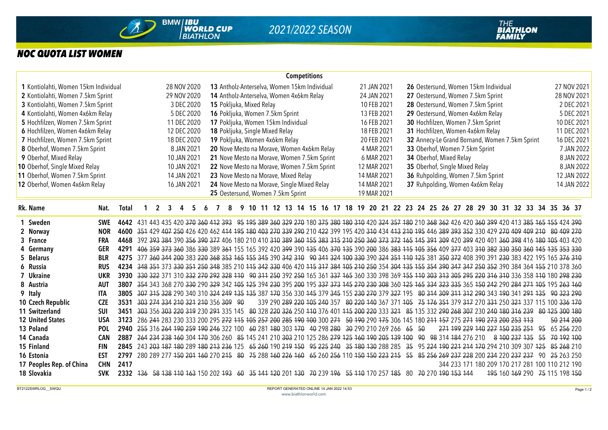

## *NOC QUOTA LIST WOMEN*

|                                      |                                                  |              |                                     |   |   |                                    |                                          |                                              |                                             |    |  |  |  |  | <b>Competitions</b> |                                                  |                                                  |             |  |                                                                                            |                                      |  |  |     |  |                         |  |                                  |  |                                                |             |                                                                                                                                                        |            |            |             |            |             |
|--------------------------------------|--------------------------------------------------|--------------|-------------------------------------|---|---|------------------------------------|------------------------------------------|----------------------------------------------|---------------------------------------------|----|--|--|--|--|---------------------|--------------------------------------------------|--------------------------------------------------|-------------|--|--------------------------------------------------------------------------------------------|--------------------------------------|--|--|-----|--|-------------------------|--|----------------------------------|--|------------------------------------------------|-------------|--------------------------------------------------------------------------------------------------------------------------------------------------------|------------|------------|-------------|------------|-------------|
| 1 Kontiolahti, Women 15km Individual |                                                  |              |                                     |   |   |                                    | 28 NOV 2020                              | 13 Antholz-Anterselva, Women 15km Individual |                                             |    |  |  |  |  | 21 JAN 2021         |                                                  |                                                  |             |  |                                                                                            | 26 Oestersund, Women 15km Individual |  |  |     |  |                         |  |                                  |  |                                                | 27 NOV 2021 |                                                                                                                                                        |            |            |             |            |             |
|                                      | 2 Kontiolahti, Women 7.5km Sprint<br>29 NOV 2020 |              |                                     |   |   |                                    | 14 Antholz-Anterselva, Women 4x6km Relay |                                              |                                             |    |  |  |  |  |                     | 27 Oestersund, Women 7.5km Sprint<br>24 JAN 2021 |                                                  |             |  |                                                                                            |                                      |  |  |     |  |                         |  |                                  |  | 28 NOV 2021                                    |             |                                                                                                                                                        |            |            |             |            |             |
|                                      | 3 Kontiolahti, Women 7.5km Sprint<br>3 DEC 2020  |              |                                     |   |   |                                    | 15 Pokljuka, Mixed Relay                 |                                              |                                             |    |  |  |  |  |                     |                                                  | 28 Oestersund, Women 7.5km Sprint<br>10 FEB 2021 |             |  |                                                                                            |                                      |  |  |     |  |                         |  |                                  |  |                                                |             |                                                                                                                                                        | 2 DEC 2021 |            |             |            |             |
|                                      | 4 Kontiolahti, Women 4x6km Relay<br>5 DEC 2020   |              |                                     |   |   |                                    | 16 Pokljuka, Women 7.5km Sprint          |                                              |                                             |    |  |  |  |  |                     |                                                  | 13 FEB 2021                                      |             |  |                                                                                            |                                      |  |  |     |  |                         |  | 29 Oestersund, Women 4x6km Relay |  |                                                |             | 5 DEC 2021                                                                                                                                             |            |            |             |            |             |
| 5 Hochfilzen, Women 7.5km Sprint     |                                                  |              | 11 DEC 2020                         |   |   |                                    |                                          | 17 Pokljuka, Women 15km Individual           |                                             |    |  |  |  |  |                     | 16 FEB 2021                                      |                                                  |             |  |                                                                                            | 30 Hochfilzen, Women 7.5km Sprint    |  |  |     |  |                         |  |                                  |  |                                                |             | 10 DEC 2021                                                                                                                                            |            |            |             |            |             |
|                                      | 6 Hochfilzen, Women 4x6km Relay<br>12 DEC 2020   |              |                                     |   |   |                                    | 18 Pokljuka, Single Mixed Relay          |                                              |                                             |    |  |  |  |  |                     |                                                  |                                                  | 18 FEB 2021 |  |                                                                                            | 31 Hochfilzen, Women 4x6km Relay     |  |  |     |  |                         |  |                                  |  |                                                |             |                                                                                                                                                        |            |            | 11 DEC 2021 |            |             |
|                                      | 7 Hochfilzen, Women 7.5km Sprint<br>18 DEC 2020  |              |                                     |   |   |                                    | 19 Pokljuka, Women 4x6km Relay           |                                              |                                             |    |  |  |  |  |                     |                                                  |                                                  | 20 FEB 2021 |  |                                                                                            |                                      |  |  |     |  |                         |  |                                  |  | 32 Annecy-Le Grand Bornand, Women 7.5km Sprint |             | 16 DEC 2021                                                                                                                                            |            |            |             |            |             |
| 8 Oberhof, Women 7.5km Sprint        |                                                  |              |                                     |   |   | 8 JAN 2021                         |                                          |                                              |                                             |    |  |  |  |  |                     |                                                  | 20 Nove Mesto na Morave, Women 4x6km Relay       |             |  | 4 MAR 2021                                                                                 |                                      |  |  |     |  |                         |  | 33 Oberhof, Women 7.5km Sprint   |  |                                                |             |                                                                                                                                                        |            | 7 JAN 2022 |             |            |             |
| 9 Oberhof, Mixed Relay               |                                                  |              |                                     |   |   | 10 JAN 2021                        |                                          |                                              |                                             |    |  |  |  |  |                     |                                                  | 21 Nove Mesto na Morave, Women 7.5km Sprint      |             |  | 6 MAR 2021                                                                                 |                                      |  |  |     |  | 34 Oberhof, Mixed Relay |  |                                  |  |                                                |             |                                                                                                                                                        |            |            |             |            | 8 JAN 2022  |
| 10 Oberhof, Single Mixed Relay       |                                                  |              |                                     |   |   | 10 JAN 2021                        |                                          |                                              |                                             |    |  |  |  |  |                     |                                                  | 22 Nove Mesto na Morave, Women 7.5km Sprint      |             |  | 12 MAR 2021                                                                                |                                      |  |  |     |  |                         |  | 35 Oberhof, Single Mixed Relay   |  |                                                |             |                                                                                                                                                        |            |            |             |            | 8 JAN 2022  |
| 11 Oberhof, Women 7.5km Sprint       |                                                  |              |                                     |   |   | 14 JAN 2021                        |                                          |                                              | 23 Nove Mesto na Morave, Mixed Relay        |    |  |  |  |  |                     |                                                  |                                                  |             |  | 14 MAR 2021                                                                                |                                      |  |  |     |  |                         |  |                                  |  | 36 Ruhpolding, Women 7.5km Sprint              |             |                                                                                                                                                        |            |            |             |            | 12 JAN 2022 |
| 12 Oberhof, Women 4x6km Relay        |                                                  |              |                                     |   |   | 16 JAN 2021                        |                                          |                                              | 24 Nove Mesto na Morave, Single Mixed Relay |    |  |  |  |  |                     |                                                  |                                                  |             |  | 14 MAR 2021                                                                                |                                      |  |  |     |  |                         |  |                                  |  | 37 Ruhpolding, Women 4x6km Relay               |             |                                                                                                                                                        |            |            |             |            | 14 JAN 2022 |
|                                      |                                                  |              |                                     |   |   |                                    |                                          |                                              | 25 Oestersund, Women 7.5km Sprint           |    |  |  |  |  |                     |                                                  |                                                  |             |  | 19 MAR 2021                                                                                |                                      |  |  |     |  |                         |  |                                  |  |                                                |             |                                                                                                                                                        |            |            |             |            |             |
| Rk. Name                             | Nat.                                             | <b>Total</b> |                                     | 2 | 3 |                                    |                                          |                                              |                                             | 9. |  |  |  |  |                     |                                                  |                                                  |             |  |                                                                                            |                                      |  |  |     |  |                         |  |                                  |  |                                                |             | 10 11 12 13 14 15 16 17 18 19 20 21 22 23 24 25 26 27 28 29 30 31 32 33 34 35 36 37                                                                    |            |            |             |            |             |
| 1 Sweden                             | <b>SWE</b>                                       | 4642         |                                     |   |   |                                    |                                          |                                              |                                             |    |  |  |  |  |                     |                                                  |                                                  |             |  |                                                                                            |                                      |  |  |     |  |                         |  |                                  |  |                                                |             | 431 443 435 420 370 360 412 393 95 195 389 360 329 270 180 375 380 180 310 420 324 357 180 210 368 362 426 420 360 399 420 413 385 165 155 424 390     |            |            |             |            |             |
| 2 Norway                             | <b>NOR</b>                                       | 4600         |                                     |   |   |                                    |                                          |                                              |                                             |    |  |  |  |  |                     |                                                  |                                                  |             |  |                                                                                            |                                      |  |  |     |  |                         |  |                                  |  |                                                |             | 351 429 407 250 426 420 462 414 195 180 403 270 339 290 210 422 399 195 420 310 434 413 210 195 446 389 393 352 330 429 270 409 409 409 210 80 409 270 |            |            |             |            |             |
| 3 France                             | <b>FRA</b>                                       | 4468         |                                     |   |   |                                    |                                          |                                              |                                             |    |  |  |  |  |                     |                                                  |                                                  |             |  |                                                                                            |                                      |  |  |     |  |                         |  |                                  |  |                                                |             | 392 393 384 390 356 390 377 406 180 210 410 340 389 360 155 383 315 210 250 360 373 372 165 145 391 309 420 399 420 401 360 398 416 180 105 403 420    |            |            |             |            |             |
| 4 Germany                            | <b>GER</b>                                       | 4291         |                                     |   |   |                                    |                                          |                                              |                                             |    |  |  |  |  |                     |                                                  |                                                  |             |  |                                                                                            |                                      |  |  |     |  |                         |  |                                  |  |                                                |             | 406 359 373 360 386 330 389 364 155 165 392 420 399 390 435 406 370 435 390 200 386 383 415 105 356 409 377 403 310 382 330 350 360 145 135 353 330    |            |            |             |            |             |
| 5 Belarus                            | <b>BLR</b>                                       | 4275         |                                     |   |   |                                    |                                          |                                              |                                             |    |  |  |  |  |                     |                                                  |                                                  |             |  |                                                                                            |                                      |  |  |     |  |                         |  |                                  |  |                                                |             | 377 360 344 200 383 220 368 353 165 155 345 390 342 310 90 341 324 100 330 390 324 351 110 125 381 350 372 408 390 391 230 383 422 195 165 376 310     |            |            |             |            |             |
| 6 Russia                             | <b>RUS</b>                                       | 4234         |                                     |   |   |                                    |                                          |                                              |                                             |    |  |  |  |  |                     |                                                  |                                                  |             |  |                                                                                            |                                      |  |  |     |  |                         |  |                                  |  |                                                |             | 348 354 373 330 354 250 348 385 210 445 342 330 406 420 445 347 384 405 210 250 354 304 435 455 354 390 347 347 250 352 390 384 364 455 210 378 360    |            |            |             |            |             |
| 7 Ukraine                            | <b>UKR</b>                                       | 3930         |                                     |   |   |                                    |                                          |                                              |                                             |    |  |  |  |  |                     |                                                  |                                                  |             |  |                                                                                            |                                      |  |  |     |  |                         |  |                                  |  |                                                |             | 330 322 371 310 332 270 292 328 110 90 311 250 392 250 165 361 337 165 360 330 398 369 155 110 303 313 305 295 220 316 310 336 358 110 180 298 230     |            |            |             |            |             |
| 8 Austria                            | <b>AUT</b>                                       | 3807         |                                     |   |   |                                    |                                          |                                              |                                             |    |  |  |  |  |                     |                                                  |                                                  |             |  |                                                                                            |                                      |  |  |     |  |                         |  |                                  |  |                                                |             | 354 343 368 270 330 290 329 342 105 125 394 230 395 200 195 337 373 145 270 230 308 360 125 165 334 323 335 365 150 242 290 284 271 105 195 263 160    |            |            |             |            |             |
| 9 Italy                              | <b>ITA</b>                                       | 3805         |                                     |   |   |                                    |                                          |                                              |                                             |    |  |  |  |  |                     |                                                  |                                                  |             |  |                                                                                            |                                      |  |  |     |  |                         |  |                                  |  |                                                |             | 307 315 328 290 340 310 324 249 135 337 170 356 330 145 379 345 155 230 270 379 327 195 80 314 309 311 312 290 343 190 341 291 135 90 323 290          |            |            |             |            |             |
| 10 Czech Republic                    | <b>CZE</b>                                       | 3531         |                                     |   |   | 303 274 334 210 321 210 356 309 90 |                                          |                                              |                                             |    |  |  |  |  |                     |                                                  |                                                  |             |  |                                                                                            |                                      |  |  |     |  |                         |  |                                  |  |                                                |             | 339 290 289 220 105 240 357 80 220 140 367 371 105 75 176 351 379 317 270 331 250 321 337 115 100 336 170                                              |            |            |             |            |             |
| 11 Switzerland                       | <b>SUI</b>                                       | 3451         |                                     |   |   |                                    |                                          |                                              |                                             |    |  |  |  |  |                     |                                                  |                                                  |             |  |                                                                                            |                                      |  |  |     |  |                         |  |                                  |  |                                                |             | 303 356 303 220 319 230 294 335 145 80 328 220 326 250 110 376 401 115 200 220 333 321 85 135 332 290 268 307 230 240 180 316 239 80 125 300 180       |            |            |             |            |             |
| <b>12 United States</b>              | <b>USA</b>                                       | 3123         |                                     |   |   |                                    |                                          |                                              |                                             |    |  |  |  |  |                     |                                                  |                                                  |             |  |                                                                                            |                                      |  |  |     |  |                         |  |                                  |  |                                                |             | 286 244 283 230 333 200 295 272 115 105 257 200 285 190 100 300 271 50 190 290 175 306 145 180 211 157 275 271 190 273 200 253 113                     |            |            |             | 50 214 200 |             |
| 13 Poland                            | POL                                              | 2940         | 255 316 264 190 259 190 246 322 100 |   |   |                                    |                                          |                                              |                                             |    |  |  |  |  |                     |                                                  |                                                  |             |  | 60 281 480 303 470 40 298 280 30 290 210 269 266 65                                        |                                      |  |  | -50 |  |                         |  |                                  |  |                                                |             | 271 199 229 140 227 150 235 251 95                                                                                                                     |            |            |             | 65 256 220 |             |
| 14 Canada                            | <b>CAN</b>                                       | 2887         |                                     |   |   |                                    |                                          |                                              |                                             |    |  |  |  |  |                     |                                                  |                                                  |             |  | 264 234 238 160 304 170 306 260 85 145 241 210 303 210 125 286 279 125 160 190 205 139 100 |                                      |  |  |     |  |                         |  | 90 98 314 184 276 210            |  |                                                |             | 8 100 237 135 55                                                                                                                                       |            |            |             | 70 192 100 |             |
| 15 Finland                           | <b>FIN</b>                                       | 2845         |                                     |   |   |                                    |                                          |                                              |                                             |    |  |  |  |  |                     |                                                  |                                                  |             |  | 243 203 187 180 289 180 213 236 125 65 260 190 219 150 95 225 240 35 180 130 288 285       |                                      |  |  |     |  |                         |  |                                  |  |                                                |             | 35 95 224 190 221 214 170 294 210 309 307 125 85 268 210                                                                                               |            |            |             |            |             |
| 16 Estonia                           | <b>EST</b>                                       | 2797         |                                     |   |   |                                    |                                          |                                              |                                             |    |  |  |  |  |                     |                                                  |                                                  |             |  |                                                                                            |                                      |  |  |     |  |                         |  |                                  |  |                                                |             | 280 289 277 450 204 460 270 245 80 75 288 460 226 460 65 260 256 110 450 450 223 245 55 85 256 269 237 228 200 234 220 237 237                         |            | -90        |             | 25 263 250 |             |
| 17 Peoples Rep. of China             | <b>CHN</b>                                       | 2417         |                                     |   |   |                                    |                                          |                                              |                                             |    |  |  |  |  |                     |                                                  |                                                  |             |  |                                                                                            |                                      |  |  |     |  |                         |  |                                  |  |                                                |             | 344 233 171 180 209 170 217 281 100 110 212 190                                                                                                        |            |            |             |            |             |
| 18 Slovakia                          | <b>SVK</b>                                       | 2332         |                                     |   |   |                                    |                                          |                                              |                                             |    |  |  |  |  |                     |                                                  |                                                  |             |  | 136 58 138 110 163 150 202 193 60 35 141 120 201 130 70 239 196 55 110 170 257 185         |                                      |  |  |     |  | 80 70 270 190 153 144   |  |                                  |  |                                                |             | 195 160 169 290 75 115 198 150                                                                                                                         |            |            |             |            |             |